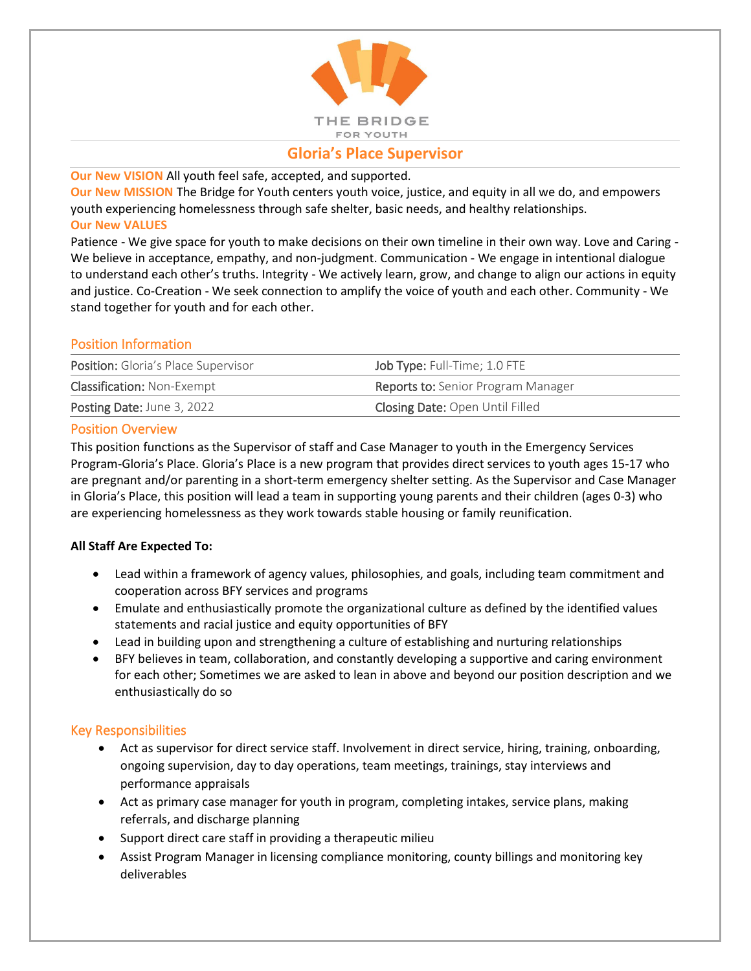

# **Gloria's Place Supervisor**

**Our New VISION** All youth feel safe, accepted, and supported.

**Our New MISSION** The Bridge for Youth centers youth voice, justice, and equity in all we do, and empowers youth experiencing homelessness through safe shelter, basic needs, and healthy relationships. **Our New VALUES**

Patience - We give space for youth to make decisions on their own timeline in their own way. Love and Caring - We believe in acceptance, empathy, and non-judgment. Communication - We engage in intentional dialogue to understand each other's truths. Integrity - We actively learn, grow, and change to align our actions in equity and justice. Co-Creation - We seek connection to amplify the voice of youth and each other. Community - We stand together for youth and for each other.

## Position Information

| <b>Position:</b> Gloria's Place Supervisor | Job Type: Full-Time; 1.0 FTE              |
|--------------------------------------------|-------------------------------------------|
| <b>Classification: Non-Exempt</b>          | <b>Reports to:</b> Senior Program Manager |
| Posting Date: June 3, 2022                 | <b>Closing Date: Open Until Filled</b>    |

### Position Overview

This position functions as the Supervisor of staff and Case Manager to youth in the Emergency Services Program-Gloria's Place. Gloria's Place is a new program that provides direct services to youth ages 15-17 who are pregnant and/or parenting in a short-term emergency shelter setting. As the Supervisor and Case Manager in Gloria's Place, this position will lead a team in supporting young parents and their children (ages 0-3) who are experiencing homelessness as they work towards stable housing or family reunification.

### **All Staff Are Expected To:**

- Lead within a framework of agency values, philosophies, and goals, including team commitment and cooperation across BFY services and programs
- Emulate and enthusiastically promote the organizational culture as defined by the identified values statements and racial justice and equity opportunities of BFY
- Lead in building upon and strengthening a culture of establishing and nurturing relationships
- BFY believes in team, collaboration, and constantly developing a supportive and caring environment for each other; Sometimes we are asked to lean in above and beyond our position description and we enthusiastically do so

### Key Responsibilities

- Act as supervisor for direct service staff. Involvement in direct service, hiring, training, onboarding, ongoing supervision, day to day operations, team meetings, trainings, stay interviews and performance appraisals
- Act as primary case manager for youth in program, completing intakes, service plans, making referrals, and discharge planning
- Support direct care staff in providing a therapeutic milieu
- Assist Program Manager in licensing compliance monitoring, county billings and monitoring key deliverables